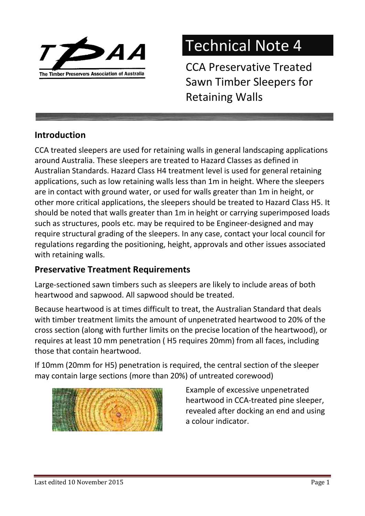

# Technical Note 4

CCA Preservative Treated Sawn Timber Sleepers for Retaining Walls

# **Introduction**

CCA treated sleepers are used for retaining walls in general landscaping applications around Australia. These sleepers are treated to Hazard Classes as defined in Australian Standards. Hazard Class H4 treatment level is used for general retaining applications, such as low retaining walls less than 1m in height. Where the sleepers are in contact with ground water, or used for walls greater than 1m in height, or other more critical applications, the sleepers should be treated to Hazard Class H5. It should be noted that walls greater than 1m in height or carrying superimposed loads such as structures, pools etc. may be required to be Engineer-designed and may require structural grading of the sleepers. In any case, contact your local council for regulations regarding the positioning, height, approvals and other issues associated with retaining walls.

# Preservative Treatment Requirements

Large-sectioned sawn timbers such as sleepers are likely to include areas of both heartwood and sapwood. All sapwood should be treated.

Because heartwood is at times difficult to treat, the Australian Standard that deals with timber treatment limits the amount of unpenetrated heartwood to 20% of the cross section (along with further limits on the precise location of the heartwood), or requires at least 10 mm penetration ( H5 requires 20mm) from all faces, including those that contain heartwood.

If 10mm (20mm for H5) penetration is required, the central section of the sleeper may contain large sections (more than 20%) of untreated corewood)



Example of excessive unpenetrated heartwood in CCA-treated pine sleeper, revealed after docking an end and using a colour indicator.